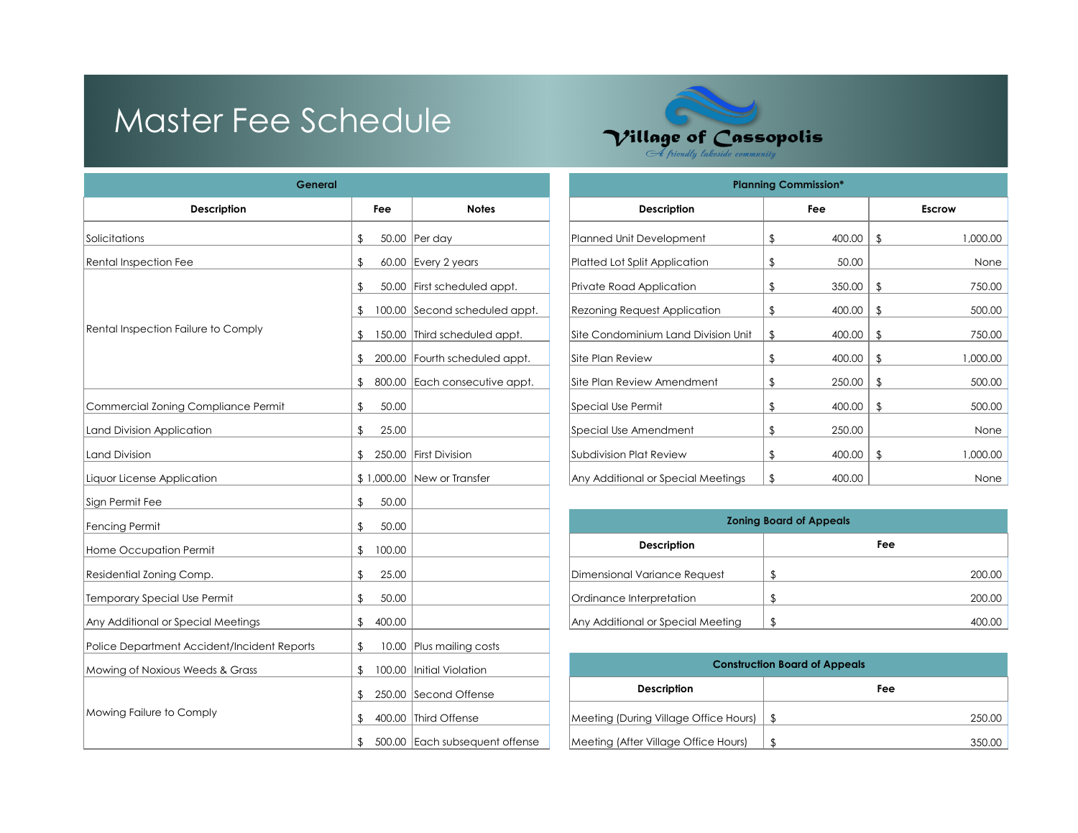# Master Fee Schedule



| General                                     | <b>Planning Commission*</b> |                                |                                       |                |                                |                |               |
|---------------------------------------------|-----------------------------|--------------------------------|---------------------------------------|----------------|--------------------------------|----------------|---------------|
| <b>Description</b>                          | Fee                         | <b>Notes</b>                   | <b>Description</b>                    |                | Fee                            |                | <b>Escrow</b> |
| Solicitations                               | \$                          | 50.00 Per day                  | Planned Unit Development              | \$             | 400.00                         | $\mathfrak{F}$ | 1,000.00      |
| <b>Rental Inspection Fee</b>                | \$                          | 60.00 Every 2 years            | Platted Lot Split Application         | \$             | 50.00                          |                | None          |
|                                             | \$                          | 50.00 First scheduled appt.    | Private Road Application              | \$             | 350.00                         | $\mathfrak{L}$ | 750.00        |
|                                             | $\mathbf{S}$                | 100.00 Second scheduled appt.  | <b>Rezoning Request Application</b>   | \$             | 400.00                         | $\sqrt{2}$     | 500.00        |
| Rental Inspection Failure to Comply         | \$                          | 150.00 Third scheduled appt.   | Site Condominium Land Division Unit   | \$             | 400.00                         | $\mathfrak{L}$ | 750.00        |
|                                             | \$                          | 200.00 Fourth scheduled appt.  | Site Plan Review                      | \$             | 400.00                         | \$             | 1,000.00      |
|                                             | \$                          | 800.00 Each consecutive appt.  | Site Plan Review Amendment            | \$             | 250.00                         | $\sqrt{2}$     | 500.00        |
| Commercial Zoning Compliance Permit         | 50.00<br>\$                 |                                | <b>Special Use Permit</b>             | \$             | 400.00                         | $\sqrt{2}$     | 500.00        |
| Land Division Application                   | \$<br>25.00                 |                                | Special Use Amendment                 | \$             | 250.00                         |                | None          |
| <b>Land Division</b>                        | \$                          | 250.00 First Division          | Subdivision Plat Review               | \$             | 400.00                         | $\sqrt{2}$     | 1,000.00      |
| Liquor License Application                  |                             | \$1,000.00 New or Transfer     | Any Additional or Special Meetings    | \$             | 400.00                         |                | None          |
| Sign Permit Fee                             | 50.00<br>\$                 |                                |                                       |                |                                |                |               |
| <b>Fencing Permit</b>                       | \$<br>50.00                 |                                |                                       |                | <b>Zoning Board of Appeals</b> |                |               |
| Home Occupation Permit                      | 100.00<br>\$                |                                | <b>Description</b>                    |                |                                | Fee            |               |
| Residential Zoning Comp.                    | \$<br>25.00                 |                                | Dimensional Variance Request          | \$             |                                |                | 200.00        |
| <b>Temporary Special Use Permit</b>         | 50.00<br>\$                 |                                | Ordinance Interpretation              | $\sqrt{2}$     |                                |                | 200.00        |
| Any Additional or Special Meetings          | \$<br>400.00                |                                | Any Additional or Special Meeting     | $\mathfrak{D}$ |                                |                | 400.00        |
| Police Department Accident/Incident Reports | \$                          | 10.00 Plus mailing costs       |                                       |                |                                |                |               |
| Mowing of Noxious Weeds & Grass             | \$                          | 100.00   Initial Violation     | <b>Construction Board of Appeals</b>  |                |                                |                |               |
|                                             | \$.                         | 250.00 Second Offense          | <b>Description</b>                    |                |                                | Fee            |               |
| Mowing Failure to Comply                    | £.                          | 400.00 Third Offense           | Meeting (During Village Office Hours) | $\frac{1}{2}$  |                                |                | 250.00        |
|                                             | \$                          | 500.00 Each subsequent offense | Meeting (After Village Office Hours)  | $\sqrt{2}$     |                                |                | 350.00        |

| General           |                     |                               | <b>Planning Commission*</b>         |    |        |               |          |  |  |  |
|-------------------|---------------------|-------------------------------|-------------------------------------|----|--------|---------------|----------|--|--|--|
| Description       | <b>Notes</b><br>Fee |                               | <b>Description</b>                  |    |        | <b>Escrow</b> |          |  |  |  |
|                   | \$                  | 50.00 Per day                 | Planned Unit Development            | \$ | 400.00 | \$            | 1,000.00 |  |  |  |
|                   | \$                  | 60.00 Every 2 years           | Platted Lot Split Application       | \$ | 50.00  |               | None     |  |  |  |
|                   | \$                  | 50.00 First scheduled appt.   | Private Road Application            | \$ | 350.00 | \$            | 750.00   |  |  |  |
| ure to Comply     | \$                  | 100.00 Second scheduled appt. | <b>Rezoning Request Application</b> | \$ | 400.00 | \$            | 500.00   |  |  |  |
|                   | 150.00<br>\$        | Third scheduled appt.         | Site Condominium Land Division Unit | \$ | 400.00 |               | 750.00   |  |  |  |
|                   | S                   | 200.00 Fourth scheduled appt. | Site Plan Review                    | \$ | 400.00 | \$            | 1,000.00 |  |  |  |
|                   | \$                  | 800.00 Each consecutive appt. | Site Plan Review Amendment          | \$ | 250.00 | \$            | 500.00   |  |  |  |
| Compliance Permit | 50.00<br>\$         |                               | Special Use Permit                  | \$ | 400.00 | \$            | 500.00   |  |  |  |
| ation.            | 25.00<br>\$         |                               | Special Use Amendment               | \$ | 250.00 |               | None     |  |  |  |
|                   | \$                  | 250.00 First Division         | Subdivision Plat Review             | \$ | 400.00 | -\$           | 1,000.00 |  |  |  |
| ation             |                     | \$1,000.00   New or Transfer  | Any Additional or Special Meetings  | \$ | 400.00 |               | None     |  |  |  |
|                   |                     |                               |                                     |    |        |               |          |  |  |  |

| <b>Zoning Board of Appeals</b>    |  |     |        |  |  |  |  |  |
|-----------------------------------|--|-----|--------|--|--|--|--|--|
| <b>Description</b>                |  | Fee |        |  |  |  |  |  |
| Dimensional Variance Request      |  |     | 200.00 |  |  |  |  |  |
| Ordinance Interpretation          |  |     | 200.00 |  |  |  |  |  |
| Any Additional or Special Meeting |  |     |        |  |  |  |  |  |

| <b>Construction Board of Appeals</b>       |        |  |  |  |  |  |  |
|--------------------------------------------|--------|--|--|--|--|--|--|
| <b>Description</b><br>Fee                  |        |  |  |  |  |  |  |
| Meeting (During Village Office Hours)   \$ | 250.00 |  |  |  |  |  |  |
| Meeting (After Village Office Hours)       | 350.00 |  |  |  |  |  |  |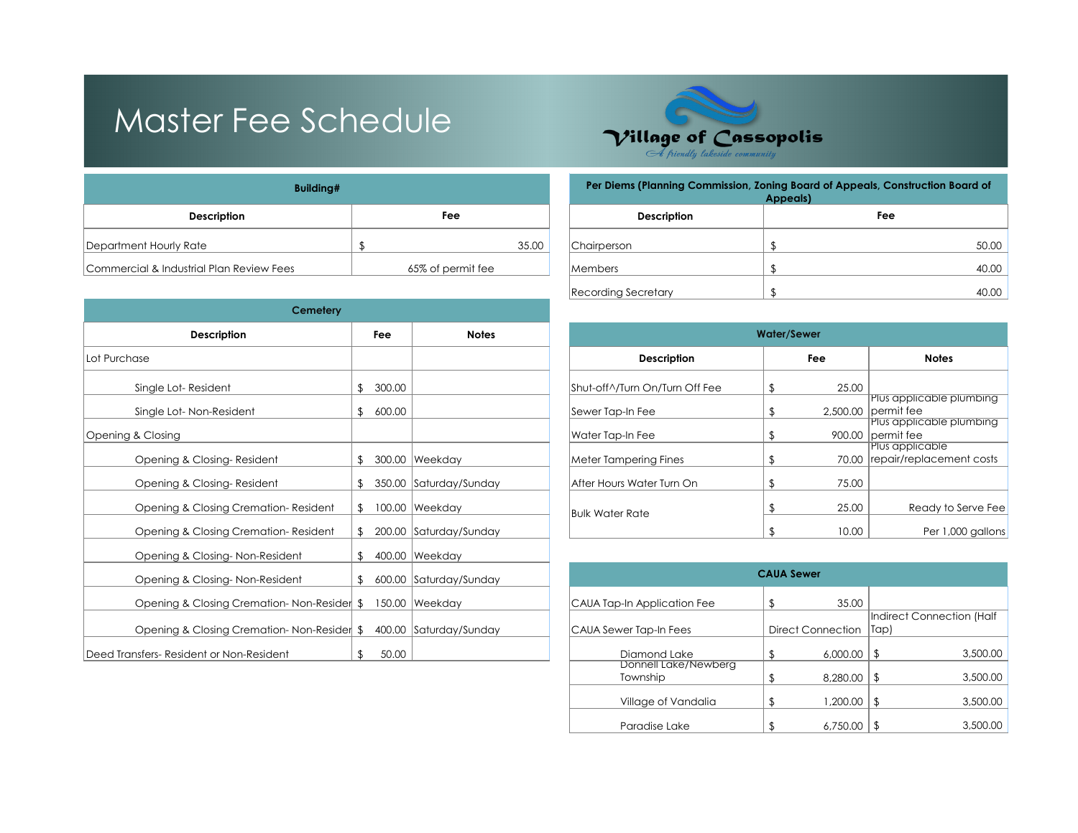## Master Fee Schedule



| Building#                                |                   | <b>Per Diems (Planning C</b> |                    |
|------------------------------------------|-------------------|------------------------------|--------------------|
| <b>Description</b>                       | Fee               |                              | <b>Description</b> |
| Department Hourly Rate                   |                   | 35.00                        | Chairperson        |
| Commercial & Industrial Plan Review Fees | 65% of permit fee |                              | Members            |

| Cemetery                                   |        |                        |                                |                   |                          |                                           |  |  |  |
|--------------------------------------------|--------|------------------------|--------------------------------|-------------------|--------------------------|-------------------------------------------|--|--|--|
| <b>Description</b>                         | Fee    | <b>Water/Sewer</b>     |                                |                   |                          |                                           |  |  |  |
| Lot Purchase                               |        |                        | <b>Description</b>             |                   | Fee                      | <b>Notes</b>                              |  |  |  |
| Single Lot-Resident                        | 300.00 |                        | Shut-off^/Turn On/Turn Off Fee |                   | 25.00                    |                                           |  |  |  |
| Single Lot-Non-Resident                    | 600.00 |                        | Sewer Tap-In Fee               |                   |                          | Plus applicable<br>$2,500.00$  permit fee |  |  |  |
| Opening & Closing                          |        |                        | Water Tap-In Fee               |                   |                          | Plus applicable p<br>900.00 permit fee    |  |  |  |
| Opening & Closing-Resident                 |        | 300.00 Weekday         | Meter Tampering Fines          |                   |                          | Plus applicable<br>70.00 repair/replacem  |  |  |  |
| Opening & Closing-Resident                 |        | 350.00 Saturday/Sunday | After Hours Water Turn On      |                   | 75.00                    |                                           |  |  |  |
| Opening & Closing Cremation-Resident       |        | 100.00 Weekday         | Bulk Water Rate                |                   | 25.00                    | Ready to                                  |  |  |  |
| Opening & Closing Cremation-Resident       |        | 200.00 Saturday/Sunday |                                |                   | 10.00                    | Per 1,                                    |  |  |  |
| Opening & Closing-Non-Resident             |        | 400.00 Weekday         |                                |                   |                          |                                           |  |  |  |
| Opening & Closing-Non-Resident             |        | 600.00 Saturday/Sunday |                                | <b>CAUA Sewer</b> |                          |                                           |  |  |  |
| Opening & Closing Cremation-Non-Resider \$ |        | 150.00 Weekday         | CAUA Tap-In Application Fee    |                   | 35.00                    |                                           |  |  |  |
| Opening & Closing Cremation-Non-Resider \$ |        | 400.00 Saturday/Sunday | CAUA Sewer Tap-In Fees         |                   | <b>Direct Connection</b> | <b>Indirect Connec</b><br> Tap)           |  |  |  |
| Deed Transfers- Resident or Non-Resident   | 50.00  |                        | Diamond Lake                   |                   | 6.000.00                 | \$                                        |  |  |  |

| Per Diems (Planning Commission, Zoning Board of Appeals, Construction Board of<br>Appeals) |             |  |  |  |  |  |  |
|--------------------------------------------------------------------------------------------|-------------|--|--|--|--|--|--|
| <b>Description</b>                                                                         | Fee         |  |  |  |  |  |  |
| Chairperson                                                                                | \$<br>50.00 |  |  |  |  |  |  |
| <b>Members</b>                                                                             | \$<br>40.00 |  |  |  |  |  |  |
| Recording Secretary                                                                        | 40.00       |  |  |  |  |  |  |

| Fee    | <b>Notes</b> |                                                                                      | <b>Water/Sewer</b>             |                                                        |       |                                                   |  |  |  |  |
|--------|--------------|--------------------------------------------------------------------------------------|--------------------------------|--------------------------------------------------------|-------|---------------------------------------------------|--|--|--|--|
|        |              |                                                                                      | <b>Description</b>             |                                                        | Fee   | <b>Notes</b>                                      |  |  |  |  |
| 300.00 |              |                                                                                      | Shut-off^/Turn On/Turn Off Fee |                                                        | 25.00 |                                                   |  |  |  |  |
| 600.00 |              |                                                                                      | Sewer Tap-In Fee               |                                                        |       | Plus applicable plumbing<br>$2.500.00$ permit fee |  |  |  |  |
|        |              |                                                                                      | Water Tap-In Fee               |                                                        |       | Plus applicable plumbing<br>900.00 permit fee     |  |  |  |  |
|        |              |                                                                                      |                                |                                                        |       | Plus applicable<br>70.00 repair/replacement costs |  |  |  |  |
|        |              |                                                                                      | After Hours Water Turn On      |                                                        | 75.00 |                                                   |  |  |  |  |
|        |              |                                                                                      |                                |                                                        |       | Ready to Serve Fee                                |  |  |  |  |
|        |              |                                                                                      |                                |                                                        | 10.00 | Per 1,000 gallons                                 |  |  |  |  |
|        |              | 300.00 Weekday<br>350.00 Saturday/Sunday<br>100.00 Weekday<br>200.00 Saturday/Sunday |                                | <b>Meter Tampering Fines</b><br><b>Bulk Water Rate</b> |       | 25.00                                             |  |  |  |  |

| Opening & Closing-Non-Resident             |       | 600.00 Saturday/Sunday | <b>CAUA Sewer</b>                |  |                   |     |                           |
|--------------------------------------------|-------|------------------------|----------------------------------|--|-------------------|-----|---------------------------|
| Opening & Closing Cremation-Non-Resider \$ |       | 150.00   Weekday       | CAUA Tap-In Application Fee      |  | 35.00             |     |                           |
|                                            |       |                        |                                  |  |                   |     | Indirect Connection (Half |
| Opening & Closing Cremation-Non-Resider \$ |       | 400.00 Saturday/Sunday | CAUA Sewer Tap-In Fees           |  | Direct Connection | Tap |                           |
| Deed Transfers- Resident or Non-Resident   | 50.00 |                        | Diamond Lake                     |  | 6,000.00          |     | 3,500.00                  |
|                                            |       |                        | Donnell Lake/Newberg<br>Township |  | 8,280,00          |     | 3,500.00                  |
|                                            |       |                        | Village of Vandalia              |  | 1,200.00          |     | 3,500.00                  |
|                                            |       |                        | Paradise Lake                    |  | 6,750.00          |     | 3,500.00                  |